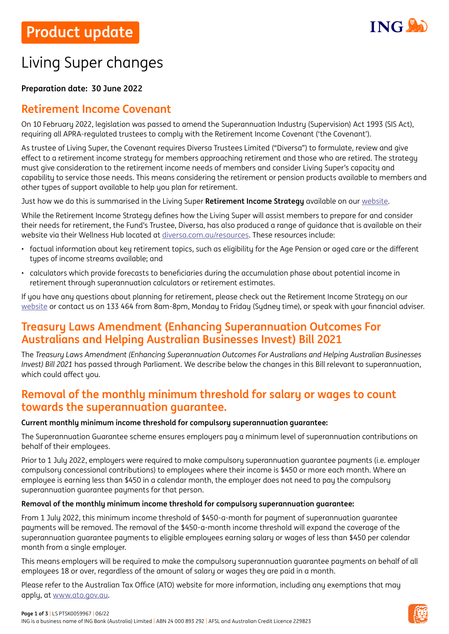

# Living Super changes

### **Preparation date: 30 June 2022**

# **Retirement Income Covenant**

On 10 February 2022, legislation was passed to amend the Superannuation Industry (Supervision) Act 1993 (SIS Act), requiring all APRA-regulated trustees to comply with the Retirement Income Covenant ('the Covenant').

As trustee of Living Super, the Covenant requires Diversa Trustees Limited ("Diversa") to formulate, review and give effect to a retirement income strategy for members approaching retirement and those who are retired. The strategy must give consideration to the retirement income needs of members and consider Living Super's capacity and capability to service those needs. This means considering the retirement or pension products available to members and other types of support available to help you plan for retirement.

Just how we do this is summarised in the Living Super **Retirement Income Strategy** available on our [website.](https://www.ing.com.au/pdf/Living_Super_RIC.pdf)

While the Retirement Income Strategy defines how the Living Super will assist members to prepare for and consider their needs for retirement, the Fund's Trustee, Diversa, has also produced a range of guidance that is available on their website via their Wellness Hub located at [diversa.com.au/resources.](https://diversa.com.au/resources/) These resources include:

- factual information about key retirement topics, such as eligibility for the Age Pension or aged care or the different types of income streams available; and
- calculators which provide forecasts to beneficiaries during the accumulation phase about potential income in retirement through superannuation calculators or retirement estimates.

If you have any questions about planning for retirement, please check out the Retirement Income Strategy on our [website](https://www.ing.com.au/pdf/Living_Super_RIC.pdf) or contact us on 133 464 from 8am-8pm, Monday to Friday (Sydney time), or speak with your financial adviser.

## **Treasury Laws Amendment (Enhancing Superannuation Outcomes For Australians and Helping Australian Businesses Invest) Bill 2021**

The *Treasury Laws Amendment (Enhancing Superannuation Outcomes For Australians and Helping Australian Businesses Invest) Bill 2021* has passed through Parliament. We describe below the changes in this Bill relevant to superannuation, which could affect you.

### **Removal of the monthly minimum threshold for salary or wages to count towards the superannuation guarantee.**

### **Current monthly minimum income threshold for compulsory superannuation guarantee:**

The Superannuation Guarantee scheme ensures employers pay a minimum level of superannuation contributions on behalf of their employees.

Prior to 1 July 2022, employers were required to make compulsory superannuation quarantee payments (i.e. employer compulsory concessional contributions) to employees where their income is \$450 or more each month. Where an employee is earning less than \$450 in a calendar month, the employer does not need to pay the compulsory superannuation guarantee payments for that person.

### **Removal of the monthly minimum income threshold for compulsory superannuation guarantee:**

From 1 July 2022, this minimum income threshold of \$450-a-month for payment of superannuation guarantee payments will be removed. The removal of the \$450-a-month income threshold will expand the coverage of the superannuation guarantee payments to eligible employees earning salary or wages of less than \$450 per calendar month from a single employer.

This means employers will be required to make the compulsory superannuation guarantee payments on behalf of all employees 18 or over, regardless of the amount of salary or wages they are paid in a month.

Please refer to the Australian Tax Office (ATO) website for more information, including any exemptions that may apply, at [www.ato.gov.au](http://www.ato.gov.au).

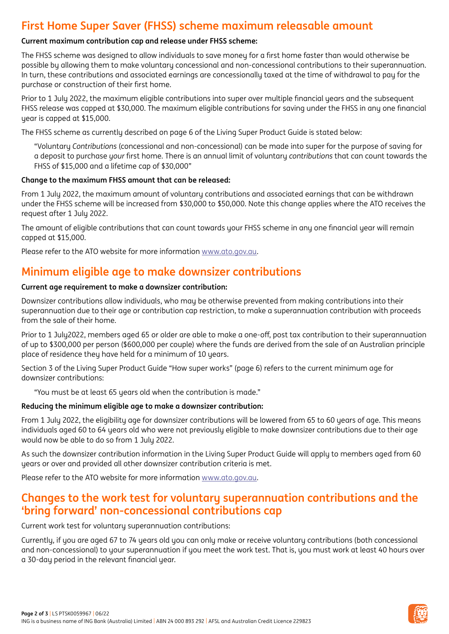# **First Home Super Saver (FHSS) scheme maximum releasable amount**

### **Current maximum contribution cap and release under FHSS scheme:**

The FHSS scheme was designed to allow individuals to save money for a first home faster than would otherwise be possible by allowing them to make voluntary concessional and non-concessional contributions to their superannuation. In turn, these contributions and associated earnings are concessionally taxed at the time of withdrawal to pay for the purchase or construction of their first home.

Prior to 1 July 2022, the maximum eligible contributions into super over multiple financial years and the subsequent FHSS release was capped at \$30,000. The maximum eligible contributions for saving under the FHSS in any one financial year is capped at \$15,000.

The FHSS scheme as currently described on page 6 of the Living Super Product Guide is stated below:

"Voluntary *Contributions* (concessional and non-concessional) can be made into super for the purpose of saving for a deposit to purchase *your* first home. There is an annual limit of voluntary *contributions* that can count towards the FHSS of \$15,000 and a lifetime cap of \$30,000"

### **Change to the maximum FHSS amount that can be released:**

From 1 July 2022, the maximum amount of voluntary contributions and associated earnings that can be withdrawn under the FHSS scheme will be increased from \$30,000 to \$50,000. Note this change applies where the ATO receives the request after 1 July 2022.

The amount of eligible contributions that can count towards your FHSS scheme in any one financial year will remain capped at \$15,000.

Please refer to the ATO website for more information [www.ato.gov.au](http://www.ato.gov.au).

# **Minimum eligible age to make downsizer contributions**

### **Current age requirement to make a downsizer contribution:**

Downsizer contributions allow individuals, who may be otherwise prevented from making contributions into their superannuation due to their age or contribution cap restriction, to make a superannuation contribution with proceeds from the sale of their home.

Prior to 1 July2022, members aged 65 or older are able to make a one-off, post tax contribution to their superannuation of up to \$300,000 per person (\$600,000 per couple) where the funds are derived from the sale of an Australian principle place of residence they have held for a minimum of 10 years.

Section 3 of the Living Super Product Guide "How super works" (page 6) refers to the current minimum age for downsizer contributions:

"You must be at least 65 years old when the contribution is made."

### **Reducing the minimum eligible age to make a downsizer contribution:**

From 1 July 2022, the eligibility age for downsizer contributions will be lowered from 65 to 60 years of age. This means individuals aged 60 to 64 years old who were not previously eligible to make downsizer contributions due to their age would now be able to do so from 1 July 2022.

As such the downsizer contribution information in the Living Super Product Guide will apply to members aged from 60 years or over and provided all other downsizer contribution criteria is met.

Please refer to the ATO website for more information [www.ato.gov.au](http://www.ato.gov.au).

### **Changes to the work test for voluntary superannuation contributions and the 'bring forward' non-concessional contributions cap**

### Current work test for voluntary superannuation contributions:

Currently, if you are aged 67 to 74 years old you can only make or receive voluntary contributions (both concessional and non-concessional) to your superannuation if you meet the work test. That is, you must work at least 40 hours over a 30-day period in the relevant financial year.